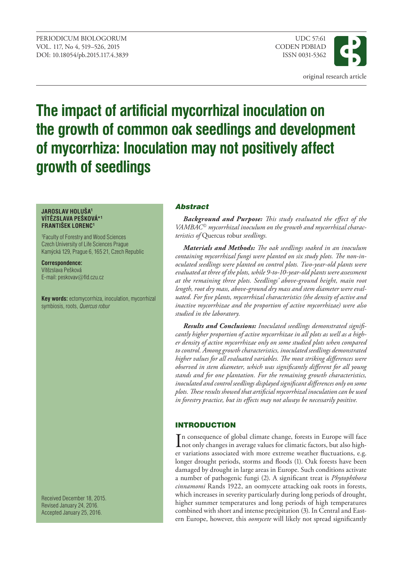

# **The impact of artificial mycorrhizal inoculation on the growth of common oak seedlings and development of mycorrhiza: Inoculation may not positively affect growth of seedlings**

#### **JAROSLAV HOLUŠA1 VÍTĚZSLAVA PEŠKOVÁ\*<sup>1</sup> FRANTIŠEK LORENC<sup>1</sup>**

1 Faculty of Forestry and Wood Sciences Czech University of Life Sciences Prague Kamýcká 129, Prague 6, 165 21, Czech Republic

**Correspondence:** Vítězslava Pešková E-mail: peskovav@fld.czu.cz

**Key words:** ectomycorrhiza, inoculation, mycorrhizal symbiosis, roots, *Quercus robur*

Received December 18, 2015. Revised January 24, 2016. Accepted January 25, 2016.

## Abstract

*Background and Purpose: This study evaluated the effect of the VAMBAC mycorrhizal inoculum on the growth and mycorrhizal characteristics of* Quercus robur *seedlings.*

*Materials and Methods: The oak seedlings soaked in an inoculum containing mycorrhizal fungi were planted on six study plots. The non-inoculated seedlings were planted on control plots. Two-year-old plants were evaluated at three of the plots, while 9-to-10-year-old plants were assessment at the remaining three plots. Seedlings' above-ground height, main root length, root dry mass, above-ground dry mass and stem diameter were evaluated. For five plants, mycorrhizal characteristics (the density of active and inactive mycorrhizae and the proportion of active mycorrhizae) were also studied in the laboratory.*

*Results and Conclusions: Inoculated seedlings demonstrated significantly higher proportion of active mycorrhizae in all plots as well as a higher density of active mycorrhizae only on some studied plots when compared to control. Among growth characteristics, inoculated seedlings demonstrated higher values for all evaluated variables. The most striking differences were observed in stem diameter, which was significantly different for all young stands and for one plantation. For the remaining growth characteristics, inoculated and control seedlings displayed significant differences only on some plots. These results showed that artificial mycorrhizal inoculation can be used in forestry practice, but its effects may not always be necessarily positive.*

# INTRODUCTION

In consequence of global climate change, forests in Europe will face<br>not only changes in average values for climatic factors, but also highnot only changes in average values for climatic factors, but also higher variations associated with more extreme weather fluctuations, e.g. longer drought periods, storms and floods (1). Oak forests have been damaged by drought in large areas in Europe. Such conditions activate a number of pathogenic fungi (2). A significant treat is *Phytophthora cinnamomi* Rands 1922, an oomycete attacking oak roots in forests, which increases in severity particularly during long periods of drought, higher summer temperatures and long periods of high temperatures combined with short and intense precipitation (3). In Central and Eastern Europe, however, this *oomycete* will likely not spread significantly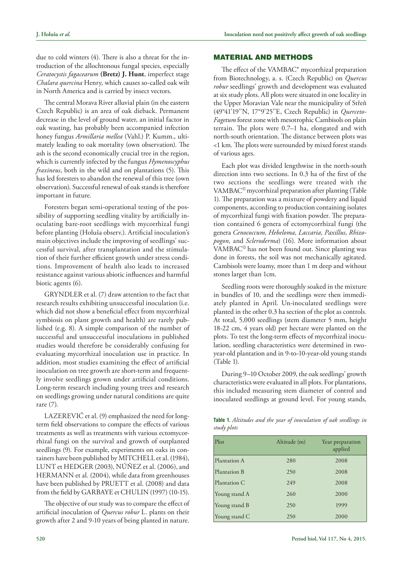due to cold winters (4). There is also a threat for the introduction of the allochtonous fungal species, especially *Ceratocystis fagacearum* **(Bretz) J. Hunt**, imperfect stage *Chalara quercina* Henry, which causes so-called oak wilt in North America and is carried by insect vectors.

The central Morava River alluvial plain (in the eastern Czech Republic) is an area of oak dieback. Permanent decrease in the level of ground water, an initial factor in oak wasting, has probably been accompanied infection honey fungus *Armillaria mellea* (Vahl.) P. Kumm., ultimately leading to oak mortality (own observation). The ash is the second economically crucial tree in the region, which is currently infected by the fungus *Hymenoscyphus fraxineus*, both in the wild and on plantations (5). This has led foresters to abandon the renewal of this tree (own observation). Successful renewal of oak stands is therefore important in future.

Foresters began semi-operational testing of the possibility of supporting seedling vitality by artificially inoculating bare-root seedlings with mycorrhizal fungi before planting (Holuša observ.). Artificial inoculation's main objectives include the improving of seedlings' successful survival, after transplantation and the stimulation of their further efficient growth under stress conditions. Improvement of health also leads to increased resistance against various abiotic influences and harmful biotic agents (6).

GRYNDLER et al. (7) draw attention to the fact that research results exhibiting unsuccessful inoculation (i.e. which did not show a beneficial effect from mycorrhizal symbiosis on plant growth and health) are rarely published (e.g. 8). A simple comparison of the number of successful and unsuccessful inoculations in published studies would therefore be considerably confusing for evaluating mycorrhizal inoculation use in practice. In addition, most studies examining the effect of artificial inoculation on tree growth are short-term and frequently involve seedlings grown under artificial conditions. Long-term research including young trees and research on seedlings growing under natural conditions are quite rare (7).

LAZEREVIĆ et al. (9) emphasized the need for longterm field observations to compare the effects of various treatments as well as treatments with various ectomycorrhizal fungi on the survival and growth of outplanted seedlings (9). For example, experiments on oaks in containers have been published by MITCHELL et al. (1984), LUNT et HEDGER (2003), NÚÑEZ et al. (2006), and HERMANN et al. (2004), while data from greenhouses have been published by PRUETT et al. (2008) and data from the field by GARBAYE et CHULIN (1997) (10-15).

The objective of our study was to compare the effect of artificial inoculation of *Quercus robur* L. plants on their growth after 2 and 9-10 years of being planted in nature.

#### MATERIAL AND METHODS

The effect of the VAMBAC® mycorrhizal preparation from Biotechnology, a. s. (Czech Republic) on *Quercus robur* seedlings' growth and development was evaluated at six study plots. All plots were situated in one locality in the Upper Moravian Vale near the municipality of Střeň (49°41'19''N, 17°9'25''E, Czech Republic) in *Querceto-Fagetum* forest zone with mesotrophic Cambisols on plain terrain. The plots were 0.7–1 ha, elongated and with north-south orientation. The distance between plots was <1 km. The plots were surrounded by mixed forest stands of various ages.

Each plot was divided lengthwise in the north-south direction into two sections. In 0.3 ha of the first of the two sections the seedlings were treated with the VAMBAC<sup>©</sup> mycorrhizal preparation after planting (Table 1). The preparation was a mixture of powdery and liquid components, according to production containing isolates of mycorrhizal fungi with fixation powder. The preparation contained 6 genera of ectomycorrhizal fungi (the genera *Cenococcum, Hebeloma, Laccaria, Paxillus, Rhizopogon,* and *Scleroderma*) (16). More information about  $VAMBAC<sup>®</sup>$  has not been found out. Since planting was done in forests, the soil was not mechanically agitated. Cambisols were loamy, more than 1 m deep and without stones larger than 1cm.

Seedling roots were thoroughly soaked in the mixture in bundles of 10, and the seedlings were then immediately planted in April. Un-inoculated seedlings were planted in the other 0.3 ha section of the plot as controls. At total, 5,000 seedlings (stem diameter 5 mm, height 18-22 cm, 4 years old) per hectare were planted on the plots. To test the long-term effects of mycorrhizal inoculation, seedling characteristics were determined in twoyear-old plantation and in 9-to-10-year-old young stands (Table 1).

During 9–10 October 2009, the oak seedlings' growth characteristics were evaluated in all plots. For plantations, this included measuring stem diameter of control and inoculated seedlings at ground level. For young stands,

| Table 1. Altitudes and the year of inoculation of oak seedlings in |  |  |  |
|--------------------------------------------------------------------|--|--|--|
| study plots                                                        |  |  |  |

| Plot          | Altitude (m) | Year preparation<br>applied |
|---------------|--------------|-----------------------------|
| Plantation A  | 280          | 2008                        |
| Plantation B  | 250          | 2008                        |
| Plantation C  | 249          | 2008                        |
| Young stand A | 260          | 2000                        |
| Young stand B | 250          | 1999                        |
| Young stand C | 250          | 2000                        |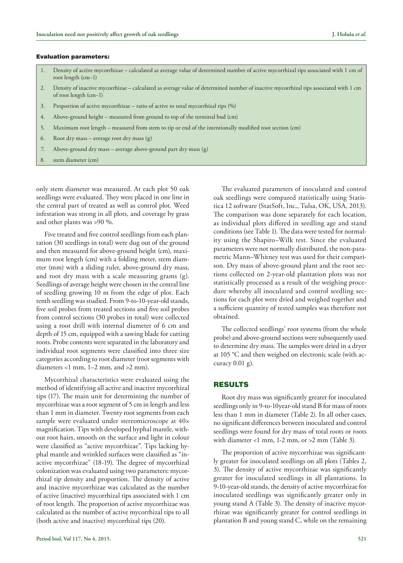#### Evaluation parameters:

- 1. Density of active mycorrhizae calculated as average value of determined number of active mycorrhizal tips associated with 1 cm of root length (cm−1)
- 2. Density of inactive mycorrhizae calculated as average value of determined number of inactive mycorrhizal tips associated with 1 cm of root length (cm−1)
- 3. Proportion of active mycorrhizae ratio of active to total mycorrhizal tips (%)
- 4. Above-ground height measured from ground to top of the terminal bud (cm)
- 5. Maximum root length measured from stem to tip or end of the intentionally modified root section (cm)
- 6. Root dry mass average root dry mass (g)
- 7. Above-ground dry mass average above-ground part dry mass (g)
- 8. stem diameter (cm)

only stem diameter was measured. At each plot 50 oak seedlings were evaluated. They were placed in one line in the central part of treated as well as control plot. Weed infestation was strong in all plots, and coverage by grass and other plants was >90 %.

Five treated and five control seedlings from each plantation (30 seedlings in total) were dug out of the ground and then measured for above-ground height (cm), maximum root length (cm) with a folding meter, stem diameter (mm) with a sliding ruler, above-ground dry mass, and root dry mass with a scale measuring grams (g). Seedlings of average height were chosen in the central line of seedling growing 10 m from the edge of plot. Each tenth seedling was studied. From 9-to-10-year-old stands, five soil probes from treated sections and five soil probes from control sections (30 probes in total) were collected using a root drill with internal diameter of 6 cm and depth of 15 cm, equipped with a sawing blade for cutting roots. Probe contents were separated in the laboratory and individual root segments were classified into three size categories according to root diameter (root segments with diameters <1 mm, 1–2 mm, and >2 mm).

Mycorrhizal characteristics were evaluated using the method of identifying all active and inactive mycorrhizal tips (17). The main unit for determining the number of mycorrhizae was a root segment of 5 cm in length and less than 1 mm in diameter. Twenty root segments from each sample were evaluated under stereomicroscope at  $40\times$ magnification. Tips with developed hyphal mantle, without root hairs, smooth on the surface and light in colour were classified as "active mycorrhizae". Tips lacking hyphal mantle and wrinkled surfaces were classified as "inactive mycorrhizae" (18-19). The degree of mycorrhizal colonization was evaluated using two parameters: mycorrhizal tip density and proportion. The density of active and inactive mycorrhizae was calculated as the number of active (inactive) mycorrhizal tips associated with 1 cm of root length. The proportion of active mycorrhizae was calculated as the number of active mycorrhizal tips to all (both active and inactive) mycorrhizal tips (20).

The evaluated parameters of inoculated and control oak seedlings were compared statistically using Statistica 12 software (StatSoft, Inc., Tulsa, OK, USA, 2013). The comparison was done separately for each location, as individual plots differed in seedling age and stand conditions (see Table 1). The data were tested for normality using the Shapiro–Wilk test. Since the evaluated parameters were not normally distributed, the non-parametric Mann–Whitney test was used for their comparison. Dry mass of above-ground plant and the root sections collected on 2-year-old plantation plots was not statistically processed as a result of the weighing procedure whereby all inoculated and control seedling sections for each plot were dried and weighed together and a sufficient quantity of tested samples was therefore not obtained.

The collected seedlings' root systems (from the whole probe) and above-ground sections were subsequently used to determine dry mass. The samples were dried in a dryer at 105 °C and then weighed on electronic scale (with accuracy 0.01 g).

#### RESULTS

Root dry mass was significantly greater for inoculated seedlings only in 9-to-10year-old stand B for mass of roots less than 1 mm in diameter (Table 2). In all other cases, no significant differences between inoculated and control seedlings were found for dry mass of total roots or roots with diameter <1 mm, 1-2 mm, or >2 mm (Table 3).

The proportion of active mycorrhizae was significantly greater for inoculated seedlings on all plots (Tables 2, 3). The density of active mycorrhizae was significantly greater for inoculated seedlings in all plantations. In 9-10-year-old stands, the density of active mycorrhizae for inoculated seedlings was significantly greater only in young stand A (Table 3). The density of inactive mycorrhizae was significantly greater for control seedlings in plantation B and young stand C, while on the remaining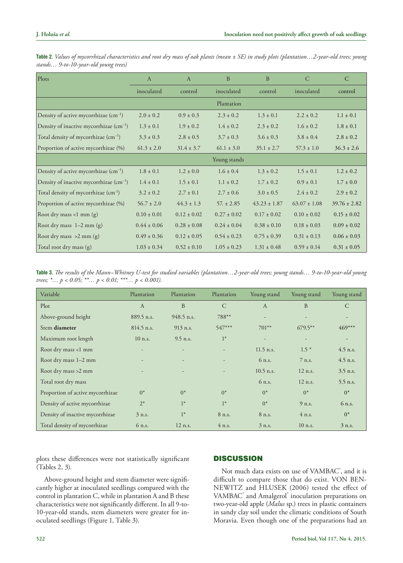| Plots                                             | $\overline{A}$  | $\overline{A}$  | B               | B                | C                | $\mathcal{C}$    |
|---------------------------------------------------|-----------------|-----------------|-----------------|------------------|------------------|------------------|
|                                                   | inoculated      | control         | inoculated      | control          | inoculated       | control          |
|                                                   |                 |                 | Plantation      |                  |                  |                  |
| Density of active mycorrhizae $(cm-1)$            | $2.0 \pm 0.2$   | $0.9 \pm 0.3$   | $2.3 \pm 0.2$   | $1.3 \pm 0.1$    | $2.2 + 0.2$      | $1.1 \pm 0.1$    |
| Density of inactive mycorrhizae $(cm^{-1})$       | $1.3 \pm 0.1$   | $1.9 \pm 0.2$   | $1.4 \pm 0.2$   | $2.3 \pm 0.2$    | $1.6 \pm 0.2$    | $1.8 \pm 0.1$    |
| Total density of mycorrhizae (cm <sup>-1</sup> )  | $3.3 \pm 0.3$   | $2.8 \pm 0.5$   | $3.7 \pm 0.3$   | $3.6 \pm 0.3$    | $3.8 \pm 0.4$    | $2.8 \pm 0.2$    |
| Proportion of active mycorrhizae (%)              | $61.3 \pm 2.0$  | $31.4 \pm 3.7$  | $61.1 \pm 3.0$  | $35.1 \pm 2.7$   | $57.3 \pm 1.0$   | $36.3 \pm 2.6$   |
|                                                   |                 |                 | Young stands    |                  |                  |                  |
| Density of active mycorrhizae (cm <sup>-1</sup> ) | $1.8 \pm 0.1$   | $1.2 \pm 0.0$   | $1.6 \pm 0.4$   | $1.3 \pm 0.2$    | $1.5 \pm 0.1$    | $1.2 \pm 0.2$    |
| Density of inactive mycorrhizae $(cm^{-1})$       | $1.4 \pm 0.1$   | $1.5 \pm 0.1$   | $1.1 \pm 0.2$   | $1.7 \pm 0.2$    | $0.9 \pm 0.1$    | $1.7 \pm 0.0$    |
| Total density of mycorrhizae (cm <sup>-1</sup> )  | $3.2 \pm 0.2$   | $2.7 \pm 0.1$   | $2.7 + 0.6$     | $3.0 \pm 0.5$    | $2.4 \pm 0.2$    | $2.9 \pm 0.2$    |
| Proportion of active mycorrhizae (%)              | $56.7 \pm 2.0$  | $44.3 \pm 1.3$  | $57. \pm 2.85$  | $43.23 \pm 1.87$ | $63.07 \pm 1.08$ | $39.76 \pm 2.82$ |
| Root dry mass <1 mm $(g)$                         | $0.10 \pm 0.01$ | $0.12 \pm 0.02$ | $0.27 \pm 0.02$ | $0.17 \pm 0.02$  | $0.10 \pm 0.02$  | $0.15 \pm 0.02$  |
| Root dry mass $1-2$ mm $(g)$                      | $0.44 \pm 0.06$ | $0.28 \pm 0.08$ | $0.24 \pm 0.04$ | $0.38 \pm 0.10$  | $0.18 \pm 0.03$  | $0.09 \pm 0.02$  |
| Root dry mass >2 mm (g)                           | $0.49 \pm 0.36$ | $0.12 \pm 0.05$ | $0.54 \pm 0.23$ | $0.75 \pm 0.39$  | $0.31 \pm 0.13$  | $0.06 \pm 0.03$  |
| Total root dry mass (g)                           | $1.03 \pm 0.34$ | $0.52 \pm 0.10$ | $1.05 \pm 0.23$ | $1.31 \pm 0.48$  | $0.59 \pm 0.14$  | $0.31 \pm 0.05$  |

**Table 2.** *Values of mycorrhizal characteristics and root dry mass of oak plants (mean ± SE) in study plots (plantation…2-year-old trees; young stands… 9-to-10-year-old young trees)*

**Table 3.** *The results of the Mann–Whitney U-test for studied variables (plantation…2-year-old trees; young stands… 9-to-10-year-old young trees; \*… p < 0.05; \*\*… p < 0.01; \*\*\*… p < 0.001).*

| Variable                         | Plantation   | Plantation               | Plantation               | Young stand  | Young stand | Young stand |
|----------------------------------|--------------|--------------------------|--------------------------|--------------|-------------|-------------|
| Plot                             | $\mathbf{A}$ | B                        | $\mathcal{C}$            | $\mathbf{A}$ | B           | C           |
| Above-ground height              | 889.5 n.s.   | 948.5 n.s.               | 788**                    |              |             |             |
| Stem diameter                    | $814.5$ n.s. | $913$ n.s.               | 547***                   | $701***$     | $679.5***$  | 469***      |
| Maximum root length              | $10$ n.s.    | $9.5$ n.s.               | $1^*$                    |              |             |             |
| Root dry mass <1 mm              |              |                          | $\frac{1}{2}$            | $11.5$ n.s.  | $1.5*$      | $4.5$ n.s.  |
| Root dry mass 1-2 mm             |              | $\overline{\phantom{a}}$ | $\overline{\phantom{0}}$ | 6 n.s.       | 7 n.s.      | $4.5$ n.s.  |
| Root dry mass >2 mm              |              |                          | -                        | $10.5$ n.s.  | $12$ n.s.   | $3.5$ n.s.  |
| Total root dry mass              |              |                          |                          | 6 n.s.       | $12$ n.s.   | $5.5$ n.s.  |
| Proportion of active mycorrhizae | $0^*$        | $0^*$                    | $0^*$                    | $0^*$        | $0^*$       | $0^*$       |
| Density of active mycorrhizae    | $2^*$        | $1*$                     | $1*$                     | $0^*$        | $9$ n.s.    | 6 n.s.      |
| Density of inactive mycorrhizae  | $3$ n.s.     | $1*$                     | 8 n.s.                   | 8 n.s.       | $4$ n.s.    | $0^*$       |
| Total density of mycorrhizae     | 6 n.s.       | $12$ n.s.                | $4$ n.s.                 | $3$ n.s.     | $10$ n.s.   | 3 n.s.      |

plots these differences were not statistically significant (Tables 2, 3).

Above-ground height and stem diameter were significantly higher at inoculated seedlings compared with the control in plantation C, while in plantation A and B these characteristics were not significantly different. In all 9-to-10-year-old stands, stem diameters were greater for inoculated seedlings (Figure 1, Table 3).

# **DISCUSSION**

Not much data exists on use of VAMBAC<sup>°</sup>, and it is difficult to compare those that do exist. VON BEN-NEWITZ and HLUSEK (2006) tested the effect of VAMBAC<sup>®</sup> and Amalgerol<sup>®</sup> inoculation preparations on two-year-old apple (*Malus* sp.) trees in plastic containers in sandy clay soil under the climatic conditions of South Moravia. Even though one of the preparations had an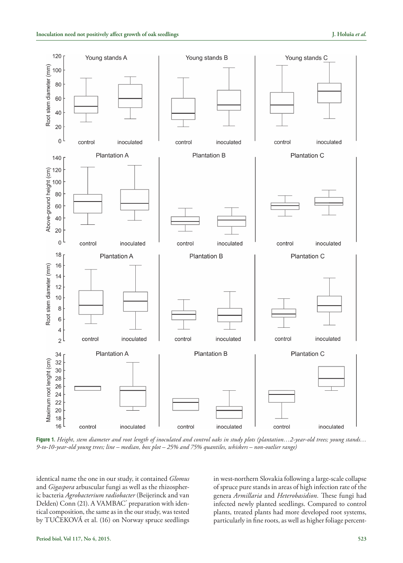

**Figure 1.** *Height, stem diameter and root length of inoculated and control oaks in study plots (plantation…2-year-old trees; young stands… 9-to-10-year-old young trees; line – median, box plot – 25% and 75% quantiles, whiskers – non-outlier range)*

identical name the one in our study, it contained *Glomus* and *Gigaspora* arbuscular fungi as well as the rhizospheric bacteria *Agrobacterium radiobacter* (Beijerinck and van Delden) Conn (21). A VAMBAC<sup>®</sup> preparation with identical composition, the same as in the our study, was tested by TUČEKOVÁ et al. (16) on Norway spruce seedlings in west-northern Slovakia following a large-scale collapse of spruce pure stands in areas of high infection rate of the genera *Armillaria* and *Heterobasidion.* These fungi had infected newly planted seedlings. Compared to control plants, treated plants had more developed root systems, particularly in fine roots, as well as higher foliage percent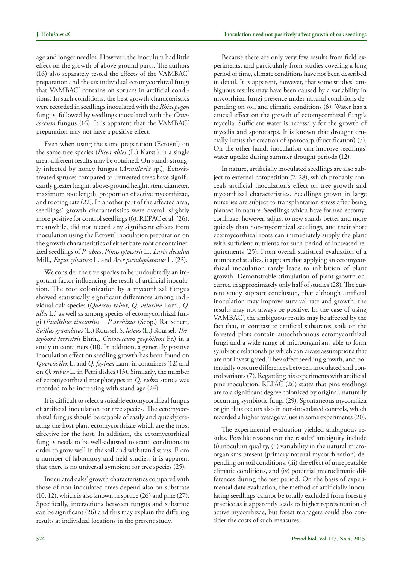age and longer needles. However, the inoculum had little effect on the growth of above-ground parts. The authors (16) also separately tested the effects of the VAMBAC<sup>®</sup> preparation and the six individual ectomycorrhizal fungi that VAMBAC® contains on spruces in artificial conditions. In such conditions, the best growth characteristics were recorded in seedlings inoculated with the *Rhizopogon* fungus, followed by seedlings inoculated with the *Cenococcum* fungus (16). It is apparent that the VAMBAC<sup>®</sup> preparation may not have a positive effect.

Even when using the same preparation (Ectovit<sup>®</sup>) on the same tree species (*Picea abies* (L.) Karst.) in a single area, different results may be obtained. On stands strongly infected by honey fungus (*Armillaria* sp.), Ectovittreated spruces compared to untreated trees have significantly greater height, above-ground height, stem diameter, maximum root length, proportion of active mycorrhizae, and rooting rate (22). In another part of the affected area, seedlings' growth characteristics were overall slightly more positive for control seedlings (6). REPÁČ et al. (26), meanwhile, did not record any significant effects from inoculation using the Ectovit<sup>®</sup> inoculation preparation on the growth characteristics of either bare-root or containerized seedlings of *P. abies*, *Pinus sylvestris* L.*, Larix decidua* Mill., *Fagus sylvatica* L. and *Acer pseudoplatanus* L. (23).

We consider the tree species to be undoubtedly an important factor influencing the result of artificial inoculation. The root colonization by a mycorrhizal fungus showed statistically significant differences among individual oak species (*Quercus robur, Q. velutina* Lam.*, Q. alba* L.) as well as among species of ectomycorrhizal fungi (*Pisolithus tinctorius* = *P.arrhizus* (Scop.) Rauschert*, Suillus granulatus* (L.) Roussel, *S. luteus* (L.) Roussel*, Thelephora terrestris* Ehrh.*, Cenococcum geophilum* Fr.) in a study in containers (10). In addition, a generally positive inoculation effect on seedling growth has been found on *Quercus ilex* L. and *Q. faginea* Lam*.* in containers (12) and on *Q. rubur* L. in Petri dishes (13). Similarly, the number of ectomycorrhizal morphotypes in *Q. rubra* stands was recorded to be increasing with stand age (24).

It is difficult to select a suitable ectomycorrhizal fungus of artificial inoculation for tree species. The ectomycorrhizal fungus should be capable of easily and quickly creating the host plant ectomycorrhizae which are the most effective for the host. In addition, the ectomycorrhizal fungus needs to be well-adjusted to stand conditions in order to grow well in the soil and withstand stress. From a number of laboratory and field studies, it is apparent that there is no universal symbiont for tree species (25).

Inoculated oaks' growth characteristics compared with those of non-inoculated trees depend also on substrate (10, 12), which is also known in spruce (26) and pine (27). Specifically, interactions between fungus and substrate can be significant (26) and this may explain the differing results at individual locations in the present study.

Because there are only very few results from field experiments, and particularly from studies covering a long period of time, climate conditions have not been described in detail. It is apparent, however, that some studies' ambiguous results may have been caused by a variability in mycorrhizal fungi presence under natural conditions depending on soil and climatic conditions (6). Water has a crucial effect on the growth of ectomycorrhizal fungi's mycelia. Sufficient water is necessary for the growth of mycelia and sporocarps. It is known that drought crucially limits the creation of sporocarp (fructification) (7). On the other hand, inoculation can improve seedlings' water uptake during summer drought periods (12).

In nature, artificially inoculated seedlings are also subject to external competition (7, 28), which probably conceals artificial inoculation's effect on tree growth and mycorrhizal characteristics. Seedlings grown in large nurseries are subject to transplantation stress after being planted in nature. Seedlings which have formed ectomycorrhizae, however, adjust to new stands better and more quickly than non-mycorrhizal seedlings, and their short ectomycorrhizal roots can immediately supply the plant with sufficient nutrients for such period of increased requirements (25). From overall statistical evaluation of a number of studies, it appears that applying an ectomycorrhizal inoculation rarely leads to inhibition of plant growth. Demonstrable stimulation of plant growth occurred in approximately only half of studies (28). The current study support conclusion, that although artificial inoculation may improve survival rate and growth, the results may not always be positive. In the case of using VAMBAC<sup>®</sup>, the ambiguous results may be affected by the fact that, in contrast to artificial substrates, soils on the forested plots contain autochthonous ectomycorrhizal fungi and a wide range of microorganisms able to form symbiotic relationships which can create assumptions that are not investigated. They affect seedling growth, and potentially obscure differences between inoculated and control variants (7). Regarding his experiments with artificial pine inoculation, REPÁČ (26) states that pine seedlings are to a significant degree colonized by original, naturally occurring symbiotic fungi (29). Spontaneous mycorrhiza origin thus occurs also in non-inoculated controls, which recorded a higher average values in some experiments (20).

The experimental evaluation yielded ambiguous results. Possible reasons for the results' ambiguity include (i) inoculum quality, (ii) variability in the natural microorganisms present (primary natural mycorrhization) depending on soil conditions, (iii) the effect of unrepeatable climatic conditions, and (iv) potential microclimatic differences during the test period. On the basis of experimental data evaluation, the method of artificially inoculating seedlings cannot be totally excluded from forestry practice as it apparently leads to higher representation of active mycorrhizae, but forest managers could also consider the costs of such measures.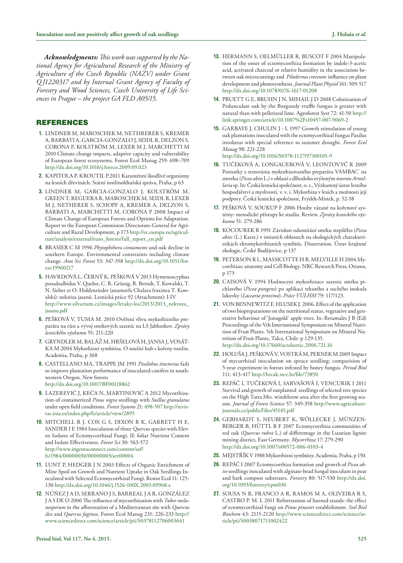*Acknowledgments: This work was supported by the National Agency for Agricultural Research of the Ministry of Agriculture of the Czech Republic (NAZV) under Grant Q J1220317 and by Internal Grant Agency of Faculty of Forestry and Wood Sciences, Czech University of Life Sciences in Prague – the project GA FLD A05/15.*

### REFERENCES

- **1.** LINDNER M, MAROSCHEK M, NETHRERER S, KREMER A, BARBATI A, GARCIA-GONZALO J, SEIDL R, DELZON S, CORONA P, KOLSTRÖM M, LEXER M J, MARCHETTI M 2010 Climate change impacts, adaptive capacity and vulnerability of European forest ecosystems. Forest Ecol Manag 259: 698–709 <http://dx.doi.org/10.1016/j.foreco.2009.09.023>
- **2.** KAPITOLA P, KROUTIL P.2011 Karanténní škodlivé organismy na lesních dřevinách. Státní rostlinolékařská správa, Praha, p 63
- **3.** LINDNER M, GARCIA-GONZALO J, KOLSTRÖM M, GREEN T, REGUERA R, MAROSCHEK M, SEIDL R, LEXER M J, NETHERER S, SCHOPF A, KREMER A, DELZON S, BARBATI A, MARCHETTI M, CORONA P 2008 Impact of Climate Change of European Forests and Options for Adaptation. Report to the European Commision Directorate-General for Agriculture and Rural Development, p 173 [http://ec.europa.eu/agricul](http://ec.europa.eu/agriculture/analysis/external/euro_forests/full_report_en.pdf)[ture/analysis/external/euro\\_forests/full\\_report\\_en.pdf](http://ec.europa.eu/agriculture/analysis/external/euro_forests/full_report_en.pdf)
- **4.** BRASIER C M 1996 *Phytophthora cinnamomi* and oak decline in southern Europe. Environmental constraints including climate change. *Ann Sci Forest* 53: 347-358 [http://dx.doi.org/10.1051/for](http://dx.doi.org/10.1051/forest:19960217)[est:19960217](http://dx.doi.org/10.1051/forest:19960217)
- $h_{\text{scapun}}$  of  $\ell$ **5.** HAVRDOVÁ L, ČERNÝ K, PEŠKOVÁ V 2013 Hymenoscyphus pseudoalbidus V. Queloz, C. R. Grünig, R. Berndt, T. Kowalski, T. N. Sieber et O. Holdenrieder (anamorfa Chalara fraxinea T. Kowalski): nekróza jasanů. Lesnická práce 92 (Attachment): I-IV [http://www.silvarium.cz/images/letaky-los/2013/2013\\_nekroz](http://www.silvarium.cz/images/letaky-los/2013/2013_nekroza_jasanu.pdf)a\_ jasanu.pdf
- **6.** PEŠKOVÁ V, TUMA M. 2010 Ověření vlivu mykorhizního preparátu na růst a vývoj smrkových sazenic na LS Jablunkov. *Zprávy lesnického výzkumu* 55: 211-220
- **7.** GRYNDLER M, BALÁŽ M, HRŠELOVÁ H, JANSA J, VOSÁT-KA M 2004 Mykorhizní symbióza. O soužití hub s kořeny rostlin. Academia, Praha, p 368
- **8.** CASTELLANO MA, TRAPPE JM 1991 *Pisolithus tinctorius* fails to improve plantation performance of inoculated conifers in southwestern Oregon. New forests <http://dx.doi.org/10.1007/BF00118862>
- **9.** LAZEREVIĆ J, KEČA N, MARTINOVIĆ A 2012 Mycorrhization of containerized *Pinus nigra* seedlings with *Suillus granulatus* under open field conditions. *Forest Systems* 21: 498-507 http://revistas.inia.es/index.php/fs/article/view/2895
- <http://www.ingentaconnect.com/content/saf/fs/1984/00000030/00000003/art00004> fs/1984/00000030/00000003/art00004 **10.** MITCHELL R J, COX G S, DIXON R K, GARRETT H E, SANDER I E 1984 Inoculation of three *Quercus* species with Eleven Isolates of Ectomycorrhizal Fungi. II: foliar Nutrient Content and Isolate Effectiveness. *Forest Sci* 30: 563-572 http://www.ingentaconnect.com/content/saf/
- **11.** LUNT P, HEDGER J N 2003 Effects of Organic Enrichment of Mine Spoil on Growth and Nutrient Uptake in Oak Seedlings Inoculated with Selected Ectomycorrhizal Fungi. Restor Ecol 11: 125- 130 <http://dx.doi.org/10.1046/j.1526-100X.2003.09968.x>
- **12.** NÚÑEZ J A D, SERRANO J S, BARREAL J A R, GONZÁLEZ J A S DE O 2006 The influence of mycorrhization with *Tuber melanosporum* in the afforestation of a Mediterranean site with *Quercus ilex* and *Quercus faginea*. Forest Ecol Manag 231: 226-233 http:// www.sciencedirect.com/science/article/pii/S0378112706003641
- **13.** HERMANN S, OELMÜLLER R, BUSCOT F 2004 Manipulation of the onset of ectomycorrhiza formation by indole-3-acetic acid, activated charcoal or relative humidity in the association between oak microcuttings and *Piloderma croceum*: influence on plant development and photosynthesis. *Journal Plant Physiol* 161: 509-517 <http://dx.doi.org/10.1078/0176-1617-01208>
- **14.** PRUETT G E, BRUHN J N, MIHAIL J D 2008 Colonization of Pedunculate oak by the Burgundy truffle fungus is greater with natural than with pelletized lime. Agroforest Syst 72: 41-50 [http://](http://link.springer.com/article/10.1007%2Fs10457-007-9069-2) [link.springer.com/article/10.1007%2Fs10457-007-9069-2](http://link.springer.com/article/10.1007%2Fs10457-007-9069-2)
- [http://dx.doi.org/10.1016/S0378-1127\(97\)00105-9](http://dx.doi.org/10.1016/S0378-1127%2897%2900105-9) **15.** GARBAYE J, CHULIN J - L 1997 Growth stimulation of young oak plantations inoculated with the ectomycorrhizal fungus Paxilus involutus with special reference to summer drought. *Forest Ecol Manag* 98: 221-228
- **16.** TUČEKOVÁ A, LONGAUEROVÁ V, LEONTOVYČ R 2009 Poznatky z testovánia mykorhizovaného preparátu VAMBAC® na smreku (*Picea abies* L.) v oblasti s dlhodobo zvýšeným stavom *Armillaria* sp. In: Česká lesnická společnost, o. s., Výzkumný ústav lesního hospodářství a myslivosti, v. v. i. Mykorhiza v lesích a možnosti její podpory. Česká lesnická společnost, Frýdek-Místek, p. 52-58
- **17.** PEŠKOVÁ V, SOUKUP F 2006 Houby vázané na kořenové systémy: metodické přístupy ke studiu. Review. *Zprávy lesnického výzkumu* 51: 279-286
- **18.** KOCOUREK R 1991 Závislost odumírání smrku ztepilého (*Picea abies* (L.) Karst.) v imisních oblastech na ekologických charakteristikách ektomykorrhizních symbióz. Dissertation. Ústav krajinné ekologie, České Budějovice, p 137
- **19.** PETERSON R L, MASSICOTTE H B, MELVILLE H 2004 Mycorrhizas: anatomy and Cell Biology. NRC Research Press, Ottawa, p 173
- **20.** CAISOVÁ V 1994 Hodnocení mykorhizace sazenic smrku pichlavého (*Picea pungens*) po aplikaci tekutého a suchého inokula lakovky (*Laccaria proxima*). *Práce VÚLHM* 79: 117/123.
- **21.** VON BENNEWITZ F, HLUSEK J. 2006. Effect of the application of two biopreparations on the nutritional status, vegetative and generative behaviour of 'Jonagold' apple trees. In: Retamales J B (Ed) Proceedings of the Vth International Symposium on Mineral Nutrition of Fruit Plants. 5th International Symposium on Mineral Nutrition of Fruit Plants, Talca, Chile: p 129-135. <http://dx.doi.org/10.17660/actahortic.2006.721.16>
- **22.** HOLUŠA J, PEŠKOVÁ V, VOSTRÁ M, PERNEK M 2009 Impact of mycorrhizal inoculation on spruce seedling: comparision of 5-year experiment in forests infested by honey fungus. *Period Biol* 111: 413-417<http://hrcak.srce.hr/file/73850>
- **23.** REPÁČ I, TUČEKOVÁ I, SARVAŠOVÁ I, VENCURIK I 2011 Survival and growth of outplanted seedlings of selected tree species on the High Tatra Mts. windthrow area after the first growing season. *Journal of Forest Science* 57: 349-358 http://www.agriculturejournals.cz/publicFiles/45145.pdf
- **24.** GEBHARDT S, NEUBERT K, WÖLLECKE J, MÜNZEN-BERGER B, HÜTTL R F 2007 Ectomycorrhiza communities of red oak (*Quercus rubra* L.) of differentage in the Lusatian lignite mining district, East Germany. *Mycorrhiza* 17: 279-290 <http://dx.doi.org/10.1007/s00572-006-0103-4>
- **25.** MEJSTŘÍK V 1988 Mykorrhizní symbiózy. Academia, Praha, p 150.
- **26.** REPÁČ I 2007 Ectomycorrhiza formation and growth of *Picea abies* seedlings inoculated with alginate-bead fungal inoculum in peat and bark compost substrates. *Forestry* 80: 517-530 [http://dx.doi.](http://dx.doi.org/10.1093/forestry/cpm036) [org/10.1093/forestry/cpm036](http://dx.doi.org/10.1093/forestry/cpm036)
- **27.** SOUSA N R, FRANCO A R, RAMOS M A, OLIVEIRA R S, CASTRO P. M. L 2011 Reforestation of burned stands: the effect of ectomycorrhizal fungi on *Pinus pinaster* establishment. *Soil Biol Biochem* 43: 2115-2120 [http://www.sciencedirect.com/science/ar](http://www.sciencedirect.com/science/article/pii/S0038071711002422)[ticle/pii/S0038071711002422](http://www.sciencedirect.com/science/article/pii/S0038071711002422)